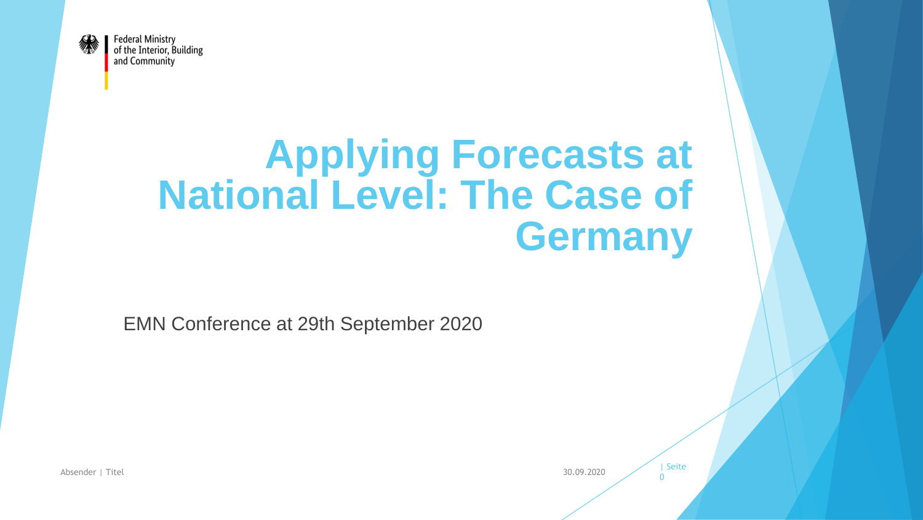

# **Applying Forecasts at National Level: The Case of Germany**

 $\Omega$ 

EMN Conference at 29th September 2020

Absender | Titel **Seite** | Seite | Seite | Seite | Seite | Seite | Seite | Seite | Seite | Seite | Seite | Seite | Seite | Seite | Seite | Seite | Seite | Seite | Seite | Seite | Seite | Seite | Seite | Seite | Seite | Sei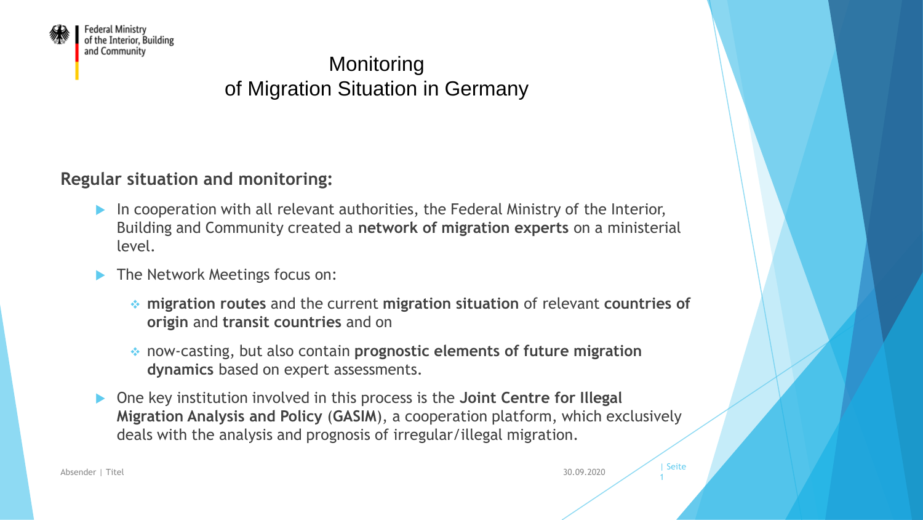

#### Monitoring of Migration Situation in Germany

**Regular situation and monitoring:**

- In cooperation with all relevant authorities, the Federal Ministry of the Interior, Building and Community created a **network of migration experts** on a ministerial level.
- The Network Meetings focus on:
	- ❖ **migration routes** and the current **migration situation** of relevant **countries of origin** and **transit countries** and on
	- ❖ now-casting, but also contain **prognostic elements of future migration dynamics** based on expert assessments.
- One key institution involved in this process is the **Joint Centre for Illegal Migration Analysis and Policy** (**GASIM**), a cooperation platform, which exclusively deals with the analysis and prognosis of irregular/illegal migration.

1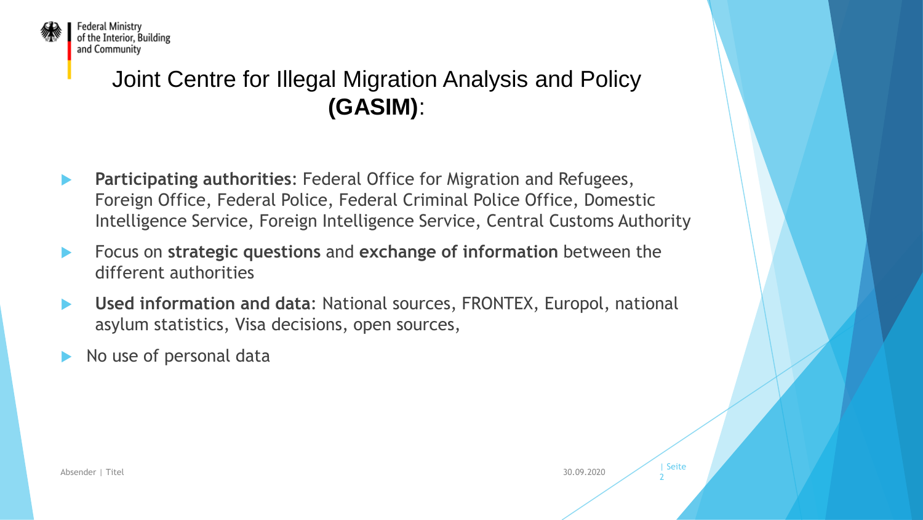

### Joint Centre for Illegal Migration Analysis and Policy **(GASIM)**:

- **Participating authorities**: Federal Office for Migration and Refugees, Foreign Office, Federal Police, Federal Criminal Police Office, Domestic Intelligence Service, Foreign Intelligence Service, Central Customs Authority
- Focus on **strategic questions** and **exchange of information** between the different authorities
- **Used information and data**: National sources, FRONTEX, Europol, national asylum statistics, Visa decisions, open sources,

2

No use of personal data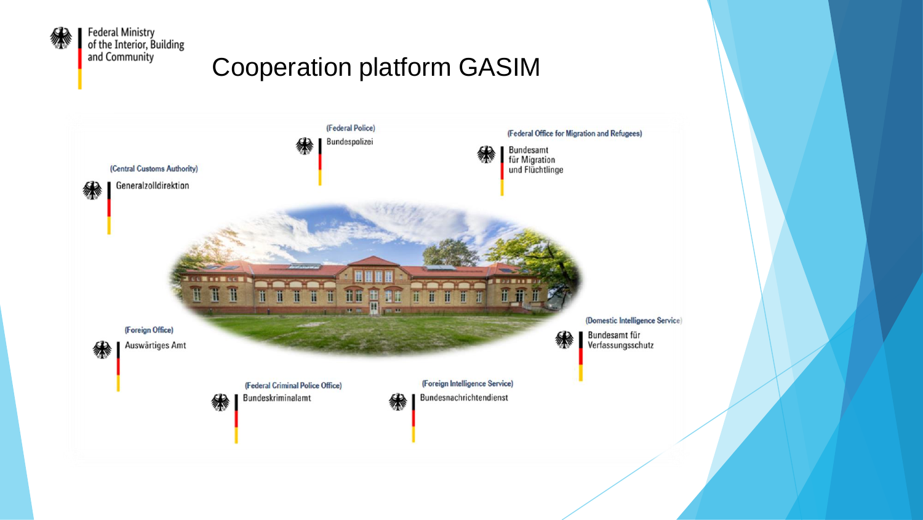

## Cooperation platform GASIM

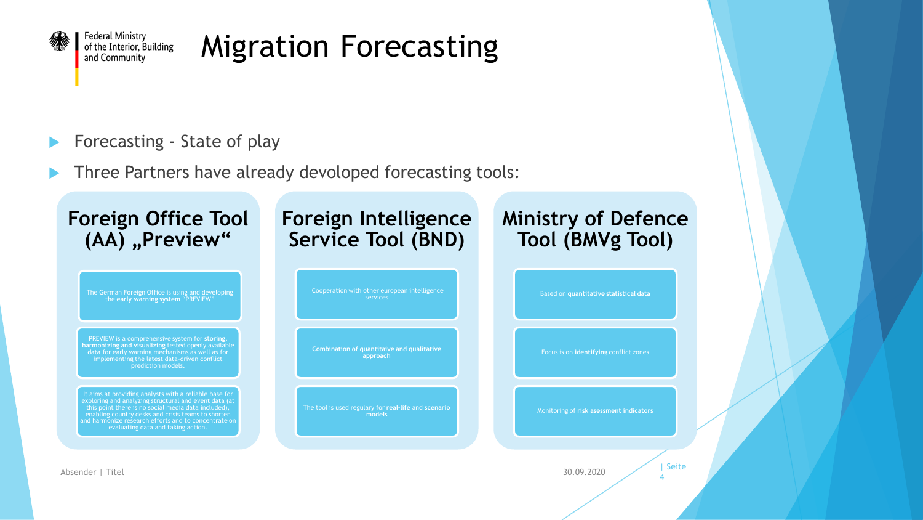

# Migration Forecasting

- Forecasting State of play
- Three Partners have already devoloped forecasting tools:



4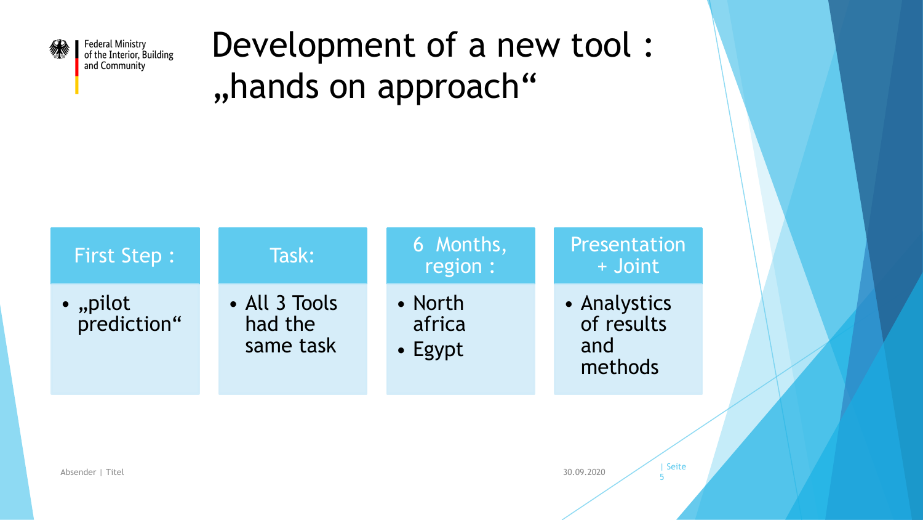

# Development of a new tool : "hands on approach"

| <b>First Step:</b>               | Task:                                 | 6 Months,<br>region :              | Presentation<br>+ Joint                      |
|----------------------------------|---------------------------------------|------------------------------------|----------------------------------------------|
| $\bullet$ , pilot<br>prediction" | • All 3 Tools<br>had the<br>same task | • North<br>africa<br>$\cdot$ Egypt | • Analystics<br>of results<br>and<br>methods |

5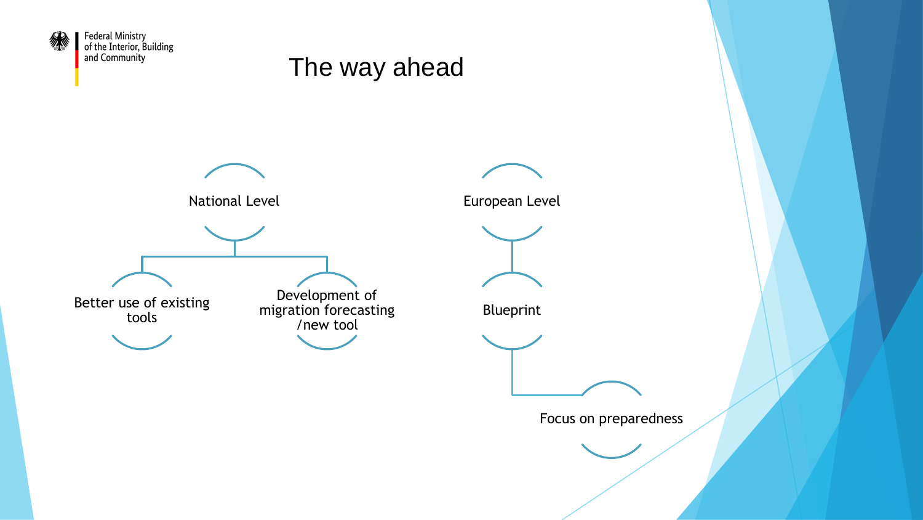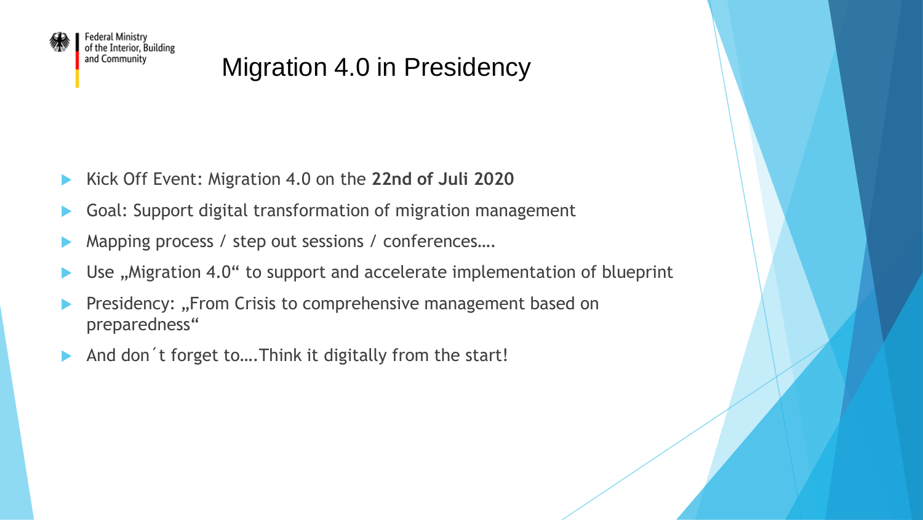

## Migration 4.0 in Presidency

- Kick Off Event: Migration 4.0 on the **22nd of Juli 2020**
- Goal: Support digital transformation of migration management
- Mapping process / step out sessions / conferences….
- Use , Migration 4.0" to support and accelerate implementation of blueprint
- Presidency: "From Crisis to comprehensive management based on preparedness"
- And don´t forget to….Think it digitally from the start!